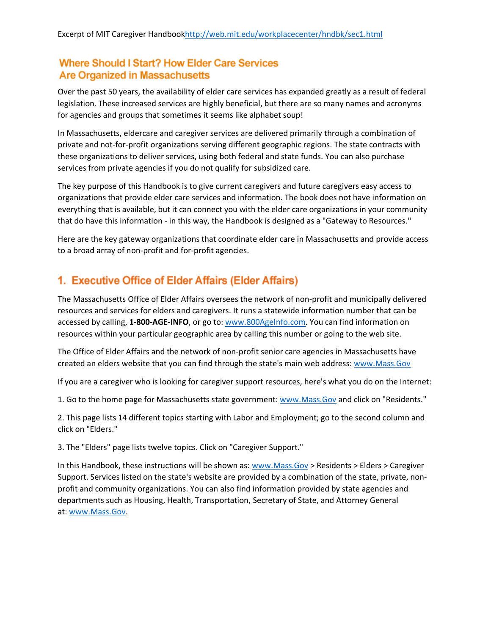#### **Where Should I Start? How Elder Care Services Are Organized in Massachusetts**

Over the past 50 years, the availability of elder care services has expanded greatly as a result of federal legislation. These increased services are highly beneficial, but there are so many names and acronyms for agencies and groups that sometimes it seems like alphabet soup!

In Massachusetts, eldercare and caregiver services are delivered primarily through a combination of private and not-for-profit organizations serving different geographic regions. The state contracts with these organizations to deliver services, using both federal and state funds. You can also purchase services from private agencies if you do not qualify for subsidized care.

The key purpose of this Handbook is to give current caregivers and future caregivers easy access to organizations that provide elder care services and information. The book does not have information on everything that is available, but it can connect you with the elder care organizations in your community that do have this information - in this way, the Handbook is designed as a "Gateway to Resources."

Here are the key gateway organizations that coordinate elder care in Massachusetts and provide access to a broad array of non-profit and for-profit agencies.

## 1. Executive Office of Elder Affairs (Elder Affairs)

The Massachusetts Office of Elder Affairs oversees the network of non-profit and municipally delivered resources and services for elders and caregivers. It runs a statewide information number that can be accessed by calling, **1-800-AGE-INFO**, or go to: [www.800AgeInfo.com.](http://www.800ageinfo.com/) You can find information on resources within your particular geographic area by calling this number or going to the web site.

The Office of Elder Affairs and the network of non-profit senior care agencies in Massachusetts have created an elders website that you can find through the state's main web address: [www.Mass.Gov](http://www.mass.gov/)

If you are a caregiver who is looking for caregiver support resources, here's what you do on the Internet:

1. Go to the home page for Massachusetts state government: [www.Mass.Gov](http://www.mass.gov/) and click on "Residents."

2. This page lists 14 different topics starting with Labor and Employment; go to the second column and click on "Elders."

3. The "Elders" page lists twelve topics. Click on "Caregiver Support."

In this Handbook, these instructions will be shown as: [www.Mass.Gov](http://www.mass.gov/) > Residents > Elders > Caregiver Support. Services listed on the state's website are provided by a combination of the state, private, nonprofit and community organizations. You can also find information provided by state agencies and departments such as Housing, Health, Transportation, Secretary of State, and Attorney General at: [www.Mass.Gov.](http://www.mass.gov/)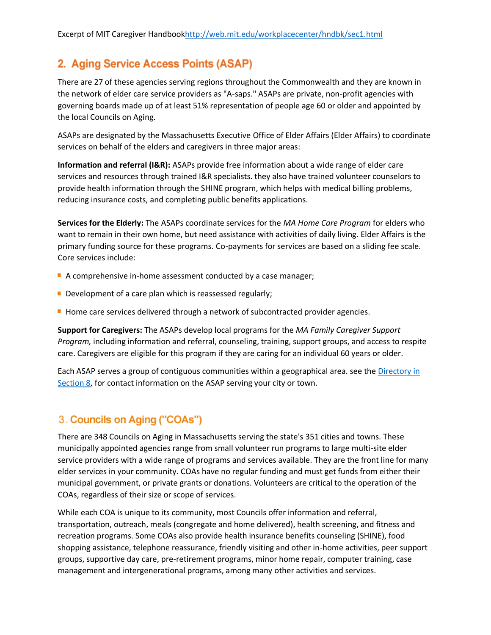# 2. Aging Service Access Points (ASAP)

There are 27 of these agencies serving regions throughout the Commonwealth and they are known in the network of elder care service providers as "A-saps." ASAPs are private, non-profit agencies with governing boards made up of at least 51% representation of people age 60 or older and appointed by the local Councils on Aging.

ASAPs are designated by the Massachusetts Executive Office of Elder Affairs (Elder Affairs) to coordinate services on behalf of the elders and caregivers in three major areas:

**Information and referral (I&R):** ASAPs provide free information about a wide range of elder care services and resources through trained I&R specialists. they also have trained volunteer counselors to provide health information through the SHINE program, which helps with medical billing problems, reducing insurance costs, and completing public benefits applications.

**Services for the Elderly:** The ASAPs coordinate services for the *MA Home Care Program* for elders who want to remain in their own home, but need assistance with activities of daily living. Elder Affairs is the primary funding source for these programs. Co-payments for services are based on a sliding fee scale. Core services include:

- A comprehensive in-home assessment conducted by a case manager;
- Development of a care plan which is reassessed regularly;
- Home care services delivered through a network of subcontracted provider agencies.

**Support for Caregivers:** The ASAPs develop local programs for the *MA Family Caregiver Support Program,* including information and referral, counseling, training, support groups, and access to respite care. Caregivers are eligible for this program if they are caring for an individual 60 years or older.

Each ASAP serves a group of contiguous communities within a geographical area. see the Directory in [Section 8,](http://web.mit.edu/workplacecenter/hndbk/sec8.html) for contact information on the ASAP serving your city or town.

#### 3. Councils on Aging ("COAs")

There are 348 Councils on Aging in Massachusetts serving the state's 351 cities and towns. These municipally appointed agencies range from small volunteer run programs to large multi-site elder service providers with a wide range of programs and services available. They are the front line for many elder services in your community. COAs have no regular funding and must get funds from either their municipal government, or private grants or donations. Volunteers are critical to the operation of the COAs, regardless of their size or scope of services.

While each COA is unique to its community, most Councils offer information and referral, transportation, outreach, meals (congregate and home delivered), health screening, and fitness and recreation programs. Some COAs also provide health insurance benefits counseling (SHINE), food shopping assistance, telephone reassurance, friendly visiting and other in-home activities, peer support groups, supportive day care, pre-retirement programs, minor home repair, computer training, case management and intergenerational programs, among many other activities and services.